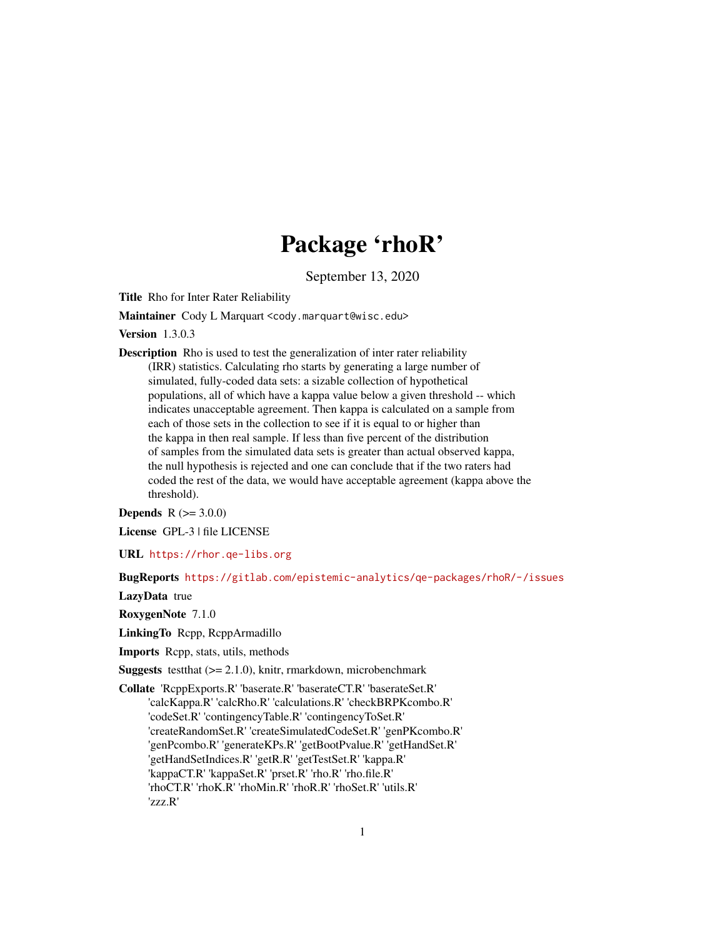# Package 'rhoR'

September 13, 2020

Title Rho for Inter Rater Reliability

Maintainer Cody L Marquart <cody.marquart@wisc.edu>

Version 1.3.0.3

Description Rho is used to test the generalization of inter rater reliability (IRR) statistics. Calculating rho starts by generating a large number of simulated, fully-coded data sets: a sizable collection of hypothetical populations, all of which have a kappa value below a given threshold -- which indicates unacceptable agreement. Then kappa is calculated on a sample from each of those sets in the collection to see if it is equal to or higher than the kappa in then real sample. If less than five percent of the distribution of samples from the simulated data sets is greater than actual observed kappa, the null hypothesis is rejected and one can conclude that if the two raters had coded the rest of the data, we would have acceptable agreement (kappa above the threshold).

**Depends**  $R (= 3.0.0)$ 

License GPL-3 | file LICENSE

URL <https://rhor.qe-libs.org>

BugReports <https://gitlab.com/epistemic-analytics/qe-packages/rhoR/-/issues>

LazyData true

RoxygenNote 7.1.0

LinkingTo Rcpp, RcppArmadillo

Imports Rcpp, stats, utils, methods

**Suggests** testthat  $(>= 2.1.0)$ , knitr, rmarkdown, microbenchmark

Collate 'RcppExports.R' 'baserate.R' 'baserateCT.R' 'baserateSet.R' 'calcKappa.R' 'calcRho.R' 'calculations.R' 'checkBRPKcombo.R' 'codeSet.R' 'contingencyTable.R' 'contingencyToSet.R' 'createRandomSet.R' 'createSimulatedCodeSet.R' 'genPKcombo.R' 'genPcombo.R' 'generateKPs.R' 'getBootPvalue.R' 'getHandSet.R' 'getHandSetIndices.R' 'getR.R' 'getTestSet.R' 'kappa.R' 'kappaCT.R' 'kappaSet.R' 'prset.R' 'rho.R' 'rho.file.R' 'rhoCT.R' 'rhoK.R' 'rhoMin.R' 'rhoR.R' 'rhoSet.R' 'utils.R' 'zzz.R'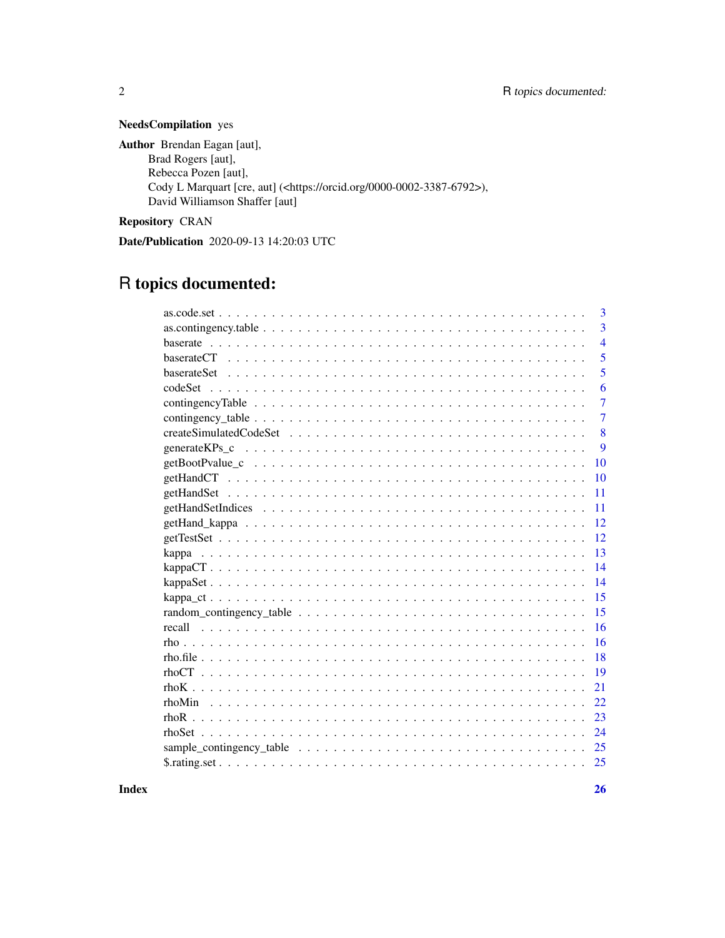# NeedsCompilation yes

Author Brendan Eagan [aut], Brad Rogers [aut], Rebecca Pozen [aut], Cody L Marquart [cre, aut] (<https://orcid.org/0000-0002-3387-6792>), David Williamson Shaffer [aut]

Repository CRAN

Date/Publication 2020-09-13 14:20:03 UTC

# R topics documented:

|             | 3              |
|-------------|----------------|
|             | 3              |
|             | $\overline{4}$ |
|             | 5              |
| baserateSet | 5              |
| codeSet     | 6              |
|             | 7              |
|             | 7              |
|             | 8              |
|             | 9              |
|             | 10             |
|             | 10             |
|             | 11             |
|             | 11             |
|             | 12             |
|             | 12             |
|             | 13             |
|             | 14             |
|             | 14             |
|             | 15             |
|             | 15             |
| recall      | 16             |
|             | 16             |
|             | 18             |
|             | 19             |
|             | 21             |
|             | 22             |
|             | 23             |
|             | 24             |
|             | 25             |
|             | 25             |
|             |                |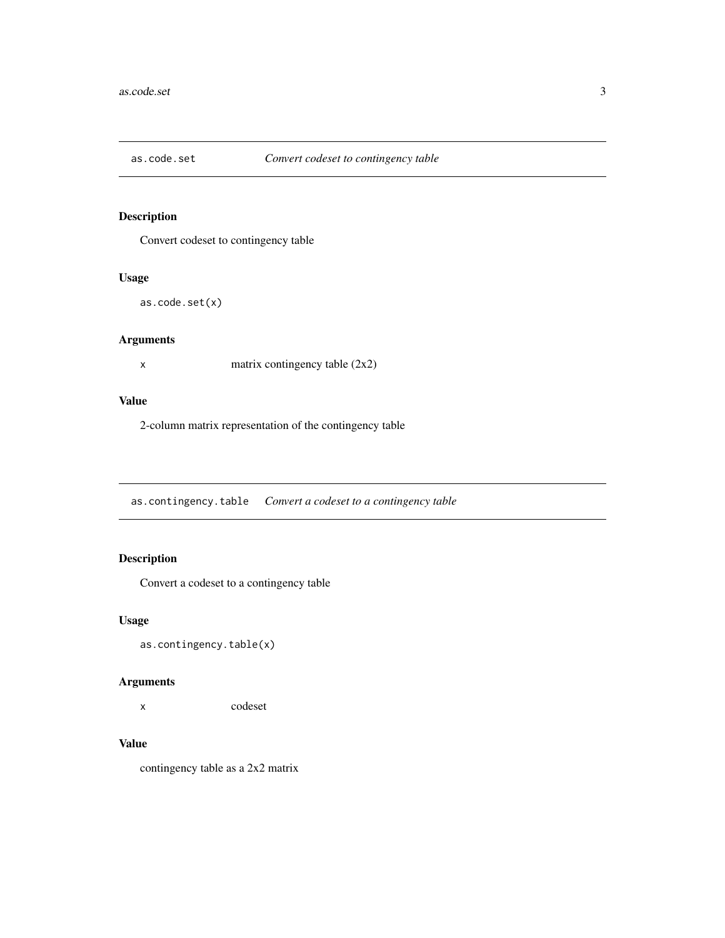<span id="page-2-0"></span>

Convert codeset to contingency table

#### Usage

as.code.set(x)

# Arguments

x matrix contingency table (2x2)

#### Value

2-column matrix representation of the contingency table

as.contingency.table *Convert a codeset to a contingency table*

# Description

Convert a codeset to a contingency table

# Usage

as.contingency.table(x)

# Arguments

x codeset

#### Value

contingency table as a 2x2 matrix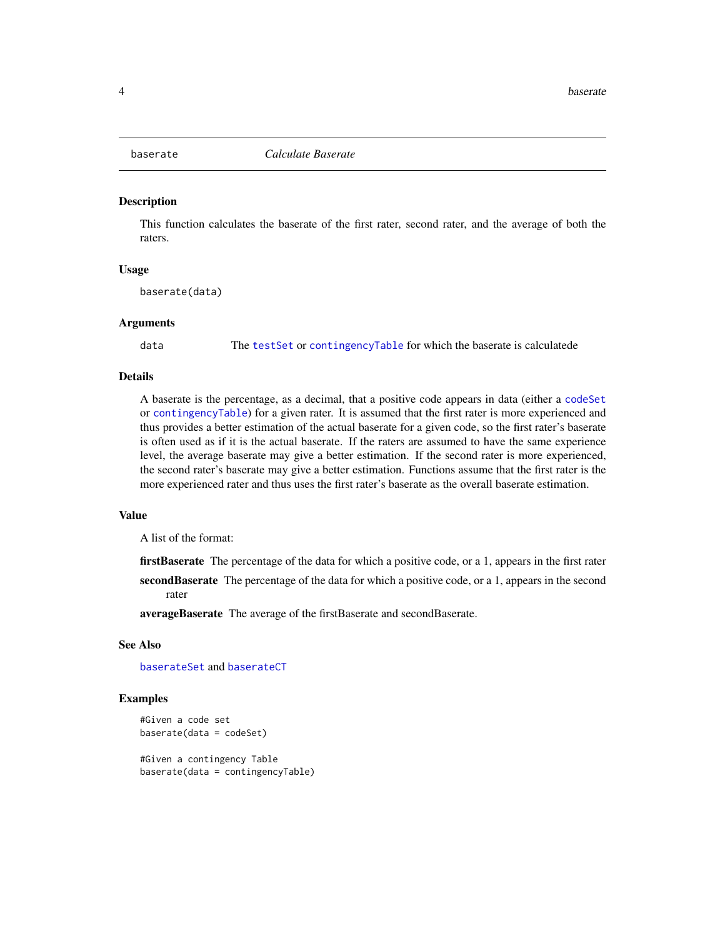<span id="page-3-1"></span><span id="page-3-0"></span>

This function calculates the baserate of the first rater, second rater, and the average of both the raters.

#### Usage

baserate(data)

#### Arguments

data The [testSet](#page-11-1) or [contingencyTable](#page-6-1) for which the baserate is calculatede

# Details

A baserate is the percentage, as a decimal, that a positive code appears in data (either a [codeSet](#page-5-1) or [contingencyTable](#page-6-1)) for a given rater. It is assumed that the first rater is more experienced and thus provides a better estimation of the actual baserate for a given code, so the first rater's baserate is often used as if it is the actual baserate. If the raters are assumed to have the same experience level, the average baserate may give a better estimation. If the second rater is more experienced, the second rater's baserate may give a better estimation. Functions assume that the first rater is the more experienced rater and thus uses the first rater's baserate as the overall baserate estimation.

#### Value

A list of the format:

firstBaserate The percentage of the data for which a positive code, or a 1, appears in the first rater

secondBaserate The percentage of the data for which a positive code, or a 1, appears in the second rater

averageBaserate The average of the firstBaserate and secondBaserate.

# See Also

[baserateSet](#page-4-1) and [baserateCT](#page-4-2)

#### Examples

```
#Given a code set
baserate(data = codeSet)
```
#Given a contingency Table baserate(data = contingencyTable)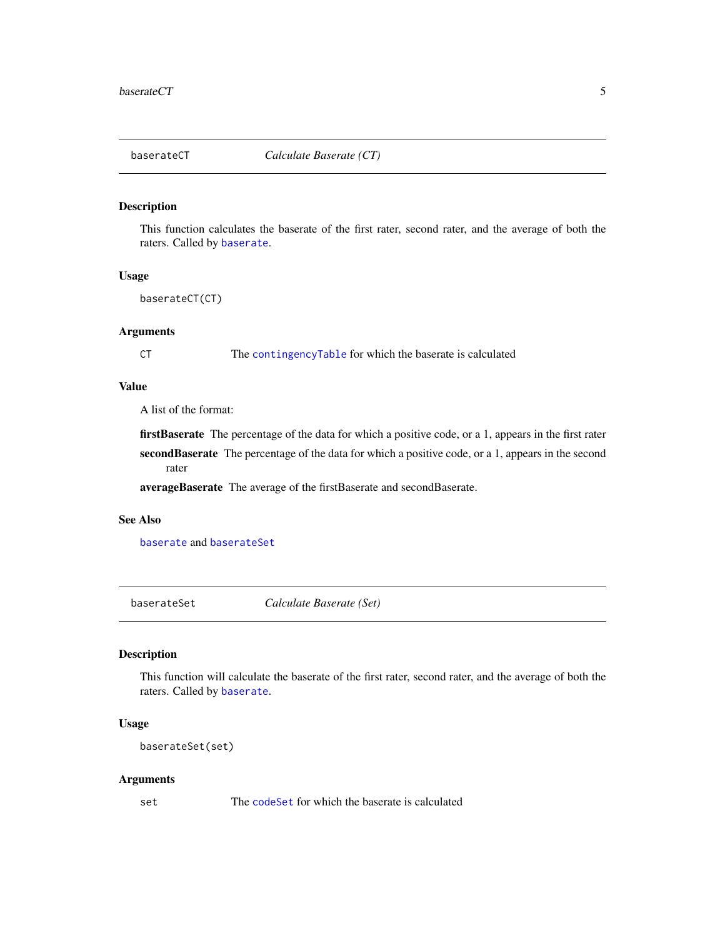<span id="page-4-2"></span><span id="page-4-0"></span>

This function calculates the baserate of the first rater, second rater, and the average of both the raters. Called by [baserate](#page-3-1).

#### Usage

baserateCT(CT)

#### Arguments

CT The [contingencyTable](#page-6-1) for which the baserate is calculated

# Value

A list of the format:

firstBaserate The percentage of the data for which a positive code, or a 1, appears in the first rater secondBaserate The percentage of the data for which a positive code, or a 1, appears in the second rater

averageBaserate The average of the firstBaserate and secondBaserate.

#### See Also

[baserate](#page-3-1) and [baserateSet](#page-4-1)

<span id="page-4-1"></span>baserateSet *Calculate Baserate (Set)*

### Description

This function will calculate the baserate of the first rater, second rater, and the average of both the raters. Called by [baserate](#page-3-1).

# Usage

```
baserateSet(set)
```
#### Arguments

set The [codeSet](#page-5-1) for which the baserate is calculated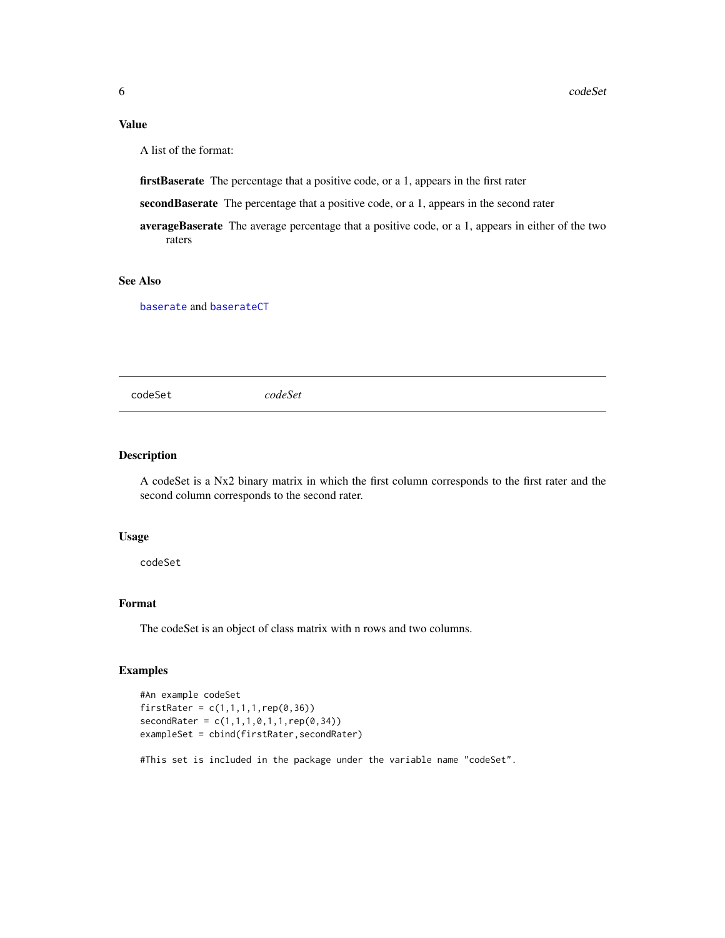# <span id="page-5-0"></span>Value

A list of the format:

firstBaserate The percentage that a positive code, or a 1, appears in the first rater

secondBaserate The percentage that a positive code, or a 1, appears in the second rater

averageBaserate The average percentage that a positive code, or a 1, appears in either of the two raters

# See Also

[baserate](#page-3-1) and [baserateCT](#page-4-2)

<span id="page-5-1"></span>codeSet *codeSet*

#### Description

A codeSet is a Nx2 binary matrix in which the first column corresponds to the first rater and the second column corresponds to the second rater.

#### Usage

codeSet

#### Format

The codeSet is an object of class matrix with n rows and two columns.

# Examples

```
#An example codeSet
firstRate = c(1,1,1,1,rep(0,36))secondRater = c(1,1,1,0,1,1,rep(0,34))exampleSet = cbind(firstRater,secondRater)
```
#This set is included in the package under the variable name "codeSet".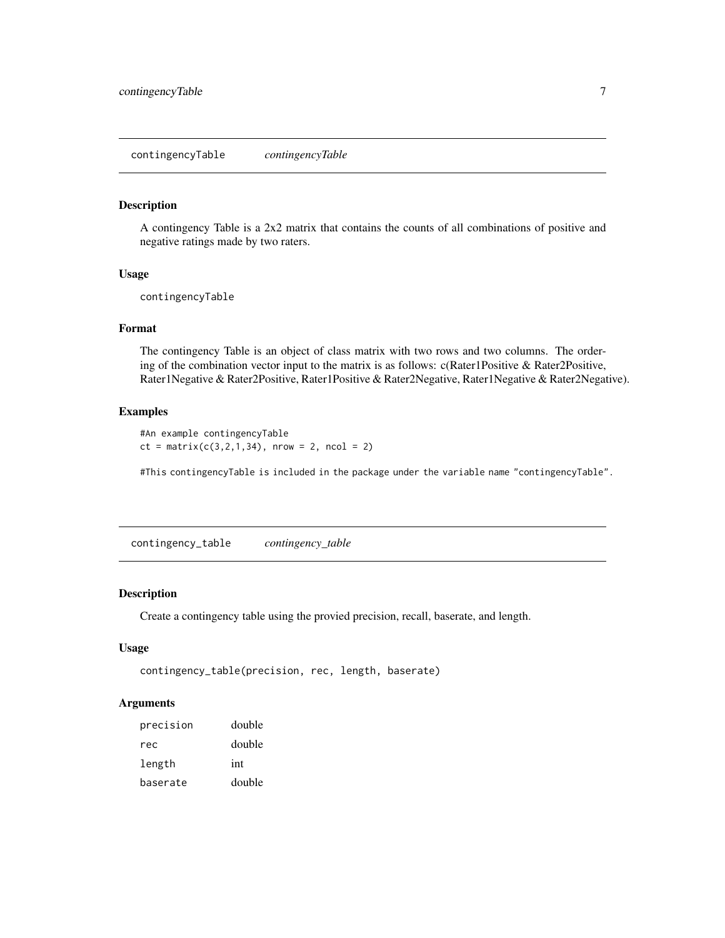<span id="page-6-1"></span><span id="page-6-0"></span>contingencyTable *contingencyTable*

#### Description

A contingency Table is a 2x2 matrix that contains the counts of all combinations of positive and negative ratings made by two raters.

#### Usage

contingencyTable

#### Format

The contingency Table is an object of class matrix with two rows and two columns. The ordering of the combination vector input to the matrix is as follows: c(Rater1Positive & Rater2Positive, Rater1Negative & Rater2Positive, Rater1Positive & Rater2Negative, Rater1Negative & Rater2Negative).

# Examples

```
#An example contingencyTable
ct = matrix(c(3, 2, 1, 34), nrow = 2, ncol = 2)
```
#This contingencyTable is included in the package under the variable name "contingencyTable".

contingency\_table *contingency\_table*

#### Description

Create a contingency table using the provied precision, recall, baserate, and length.

#### Usage

```
contingency_table(precision, rec, length, baserate)
```

| precision | double |
|-----------|--------|
| rec       | double |
| length    | int    |
| baserate  | double |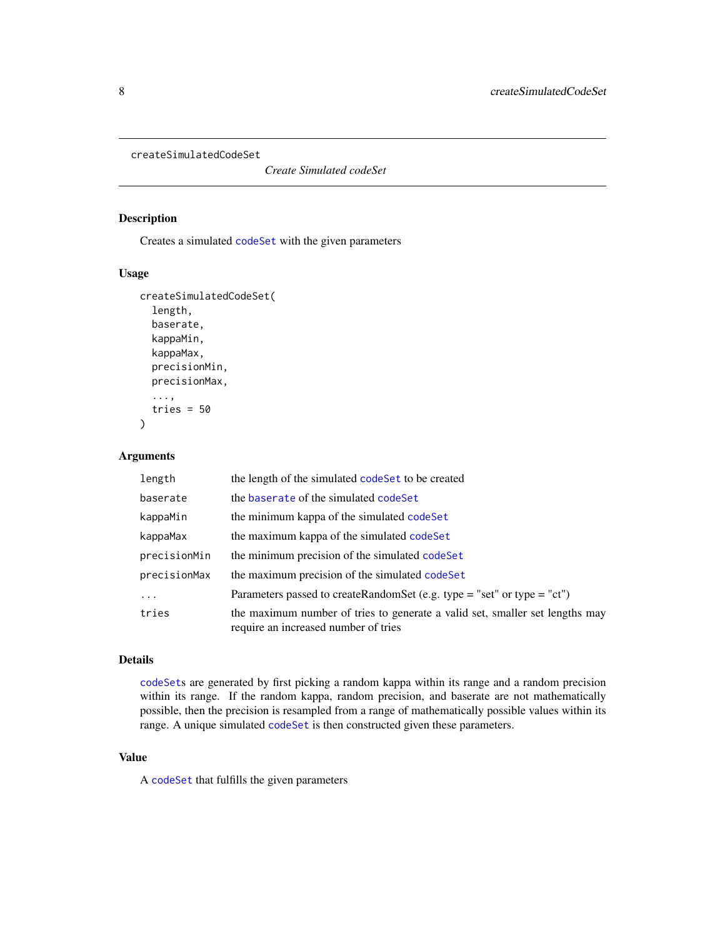<span id="page-7-1"></span><span id="page-7-0"></span>createSimulatedCodeSet

*Create Simulated codeSet*

#### Description

Creates a simulated [codeSet](#page-5-1) with the given parameters

# Usage

```
createSimulatedCodeSet(
  length,
  baserate,
  kappaMin,
  kappaMax,
  precisionMin,
  precisionMax,
  ...,
  tries = 50
\mathcal{L}
```
## Arguments

| length       | the length of the simulated code Set to be created                                                                   |
|--------------|----------------------------------------------------------------------------------------------------------------------|
| baserate     | the baserate of the simulated codeSet                                                                                |
| kappaMin     | the minimum kappa of the simulated codeSet                                                                           |
| kappaMax     | the maximum kappa of the simulated codeSet                                                                           |
| precisionMin | the minimum precision of the simulated codeSet                                                                       |
| precisionMax | the maximum precision of the simulated codeSet                                                                       |
| .            | Parameters passed to createRandomSet (e.g. type = "set" or type = "ct")                                              |
| tries        | the maximum number of tries to generate a valid set, smaller set lengths may<br>require an increased number of tries |

# Details

[codeSet](#page-5-1)s are generated by first picking a random kappa within its range and a random precision within its range. If the random kappa, random precision, and baserate are not mathematically possible, then the precision is resampled from a range of mathematically possible values within its range. A unique simulated [codeSet](#page-5-1) is then constructed given these parameters.

# Value

A [codeSet](#page-5-1) that fulfills the given parameters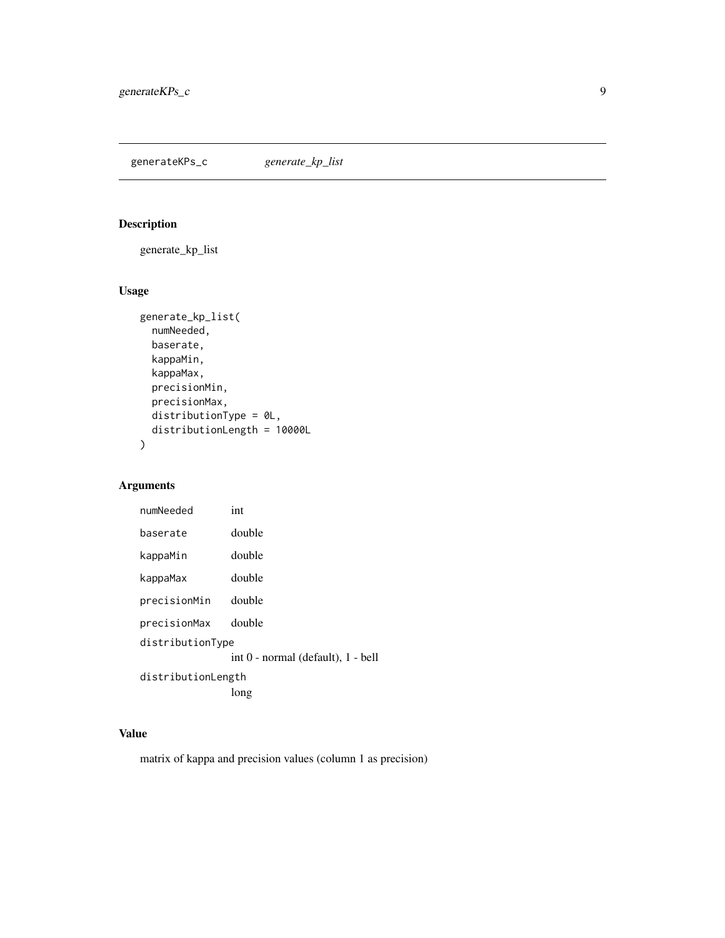<span id="page-8-0"></span>generateKPs\_c *generate\_kp\_list*

# Description

generate\_kp\_list

# Usage

```
generate_kp_list(
 numNeeded,
 baserate,
 kappaMin,
 kappaMax,
 precisionMin,
 precisionMax,
 distributionType = 0L,
 distributionLength = 10000L
)
```
# Arguments

| numNeeded                  | int                                |  |  |
|----------------------------|------------------------------------|--|--|
| baserate                   | double                             |  |  |
| kappaMin                   | double                             |  |  |
| kappaMax                   | double                             |  |  |
| precisionMin               | double                             |  |  |
| precisionMax               | double                             |  |  |
| distributionType           |                                    |  |  |
|                            | int 0 - normal (default), 1 - bell |  |  |
| distributionLength<br>long |                                    |  |  |

# Value

matrix of kappa and precision values (column 1 as precision)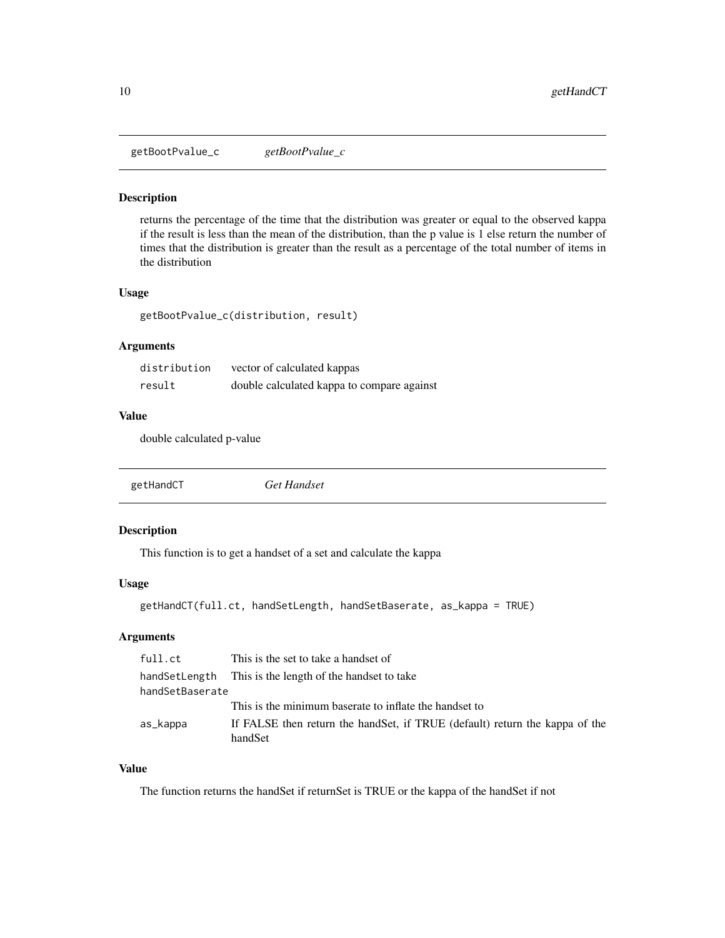<span id="page-9-0"></span>getBootPvalue\_c *getBootPvalue\_c*

#### Description

returns the percentage of the time that the distribution was greater or equal to the observed kappa if the result is less than the mean of the distribution, than the p value is 1 else return the number of times that the distribution is greater than the result as a percentage of the total number of items in the distribution

### Usage

```
getBootPvalue_c(distribution, result)
```
# Arguments

| distribution | vector of calculated kappas                |
|--------------|--------------------------------------------|
| result       | double calculated kappa to compare against |

# Value

double calculated p-value

| getHandCT | Get Handset |  |
|-----------|-------------|--|
|           |             |  |

# Description

This function is to get a handset of a set and calculate the kappa

# Usage

```
getHandCT(full.ct, handSetLength, handSetBaserate, as_kappa = TRUE)
```
#### Arguments

| full.ct         | This is the set to take a handset of                                                    |
|-----------------|-----------------------------------------------------------------------------------------|
| handSetLength   | This is the length of the handset to take                                               |
| handSetBaserate |                                                                                         |
|                 | This is the minimum baserate to inflate the handset to                                  |
| as_kappa        | If FALSE then return the hand Set, if TRUE (default) return the kappa of the<br>handSet |

# Value

The function returns the handSet if returnSet is TRUE or the kappa of the handSet if not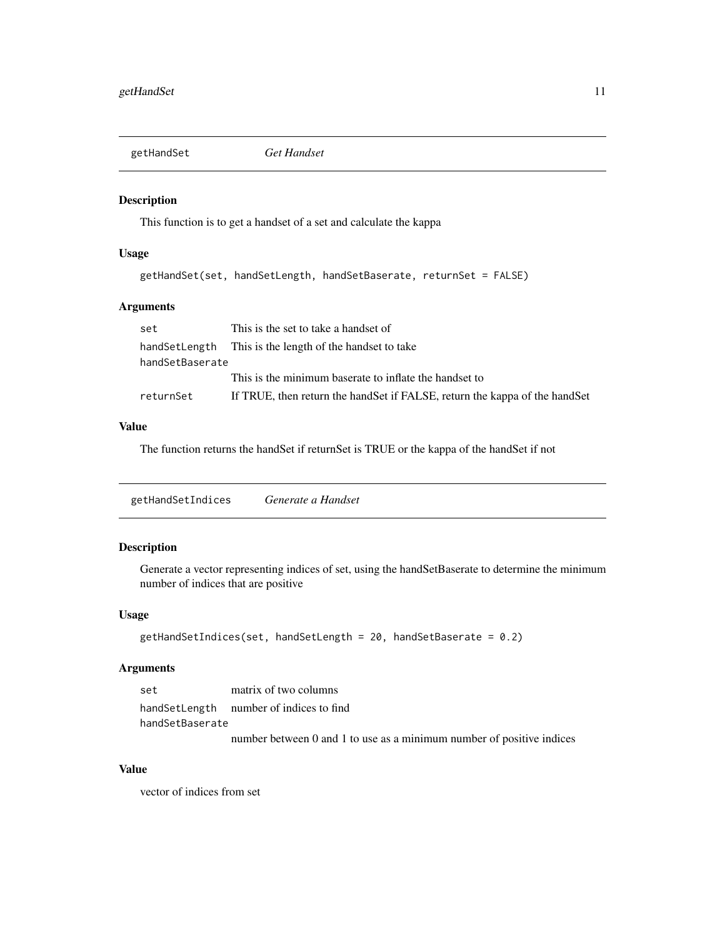<span id="page-10-0"></span>

This function is to get a handset of a set and calculate the kappa

# Usage

```
getHandSet(set, handSetLength, handSetBaserate, returnSet = FALSE)
```
# Arguments

| set             | This is the set to take a handset of                                         |
|-----------------|------------------------------------------------------------------------------|
|                 | hand Set Length This is the length of the hand set to take                   |
| handSetBaserate |                                                                              |
|                 | This is the minimum baserate to inflate the handset to                       |
| returnSet       | If TRUE, then return the hand Set if FALSE, return the kappa of the hand Set |

### Value

The function returns the handSet if returnSet is TRUE or the kappa of the handSet if not

getHandSetIndices *Generate a Handset*

#### Description

Generate a vector representing indices of set, using the handSetBaserate to determine the minimum number of indices that are positive

#### Usage

```
getHandSetIndices(set, handSetLength = 20, handSetBaserate = 0.2)
```
#### Arguments

| set             | matrix of two columns                                                 |
|-----------------|-----------------------------------------------------------------------|
|                 | handSetLength number of indices to find                               |
| handSetBaserate |                                                                       |
|                 | number between 0 and 1 to use as a minimum number of positive indices |

# Value

vector of indices from set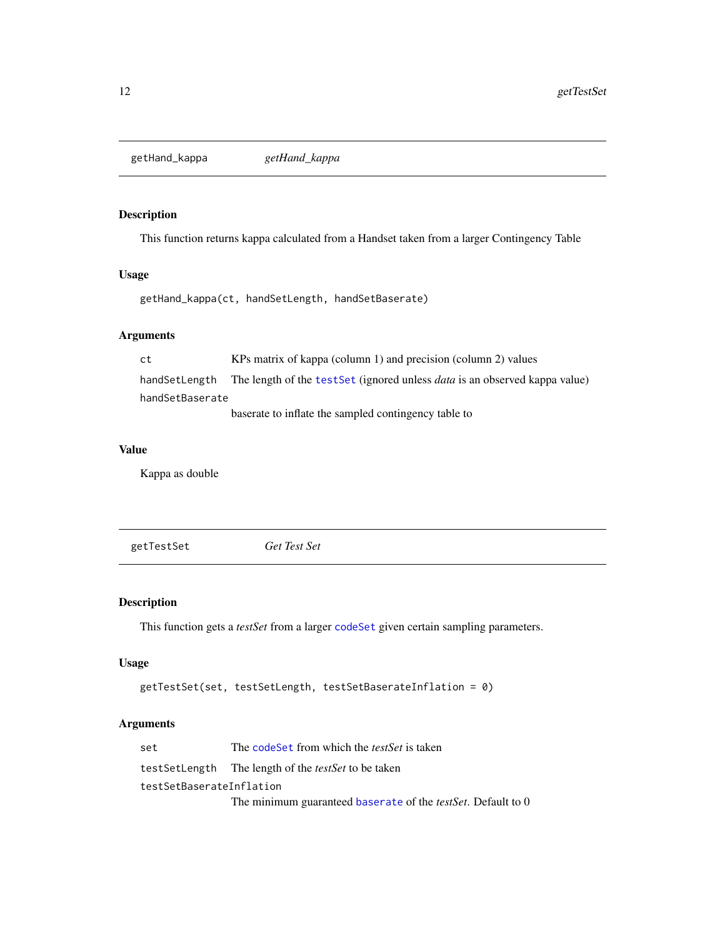<span id="page-11-0"></span>getHand\_kappa *getHand\_kappa*

# Description

This function returns kappa calculated from a Handset taken from a larger Contingency Table

#### Usage

```
getHand_kappa(ct, handSetLength, handSetBaserate)
```
#### Arguments

ct KPs matrix of kappa (column 1) and precision (column 2) values handSetLength The length of the [testSet](#page-11-1) (ignored unless *data* is an observed kappa value) handSetBaserate baserate to inflate the sampled contingency table to

#### Value

Kappa as double

<span id="page-11-1"></span>getTestSet *Get Test Set*

# Description

This function gets a *testSet* from a larger [codeSet](#page-5-1) given certain sampling parameters.

# Usage

```
getTestSet(set, testSetLength, testSetBaserateInflation = 0)
```

| set                      | The codeSet from which the <i>testSet</i> is taken                   |
|--------------------------|----------------------------------------------------------------------|
|                          | testSetLength The length of the <i>testSet</i> to be taken           |
| testSetBaserateInflation |                                                                      |
|                          | The minimum guaranteed baserate of the <i>testSet</i> . Default to 0 |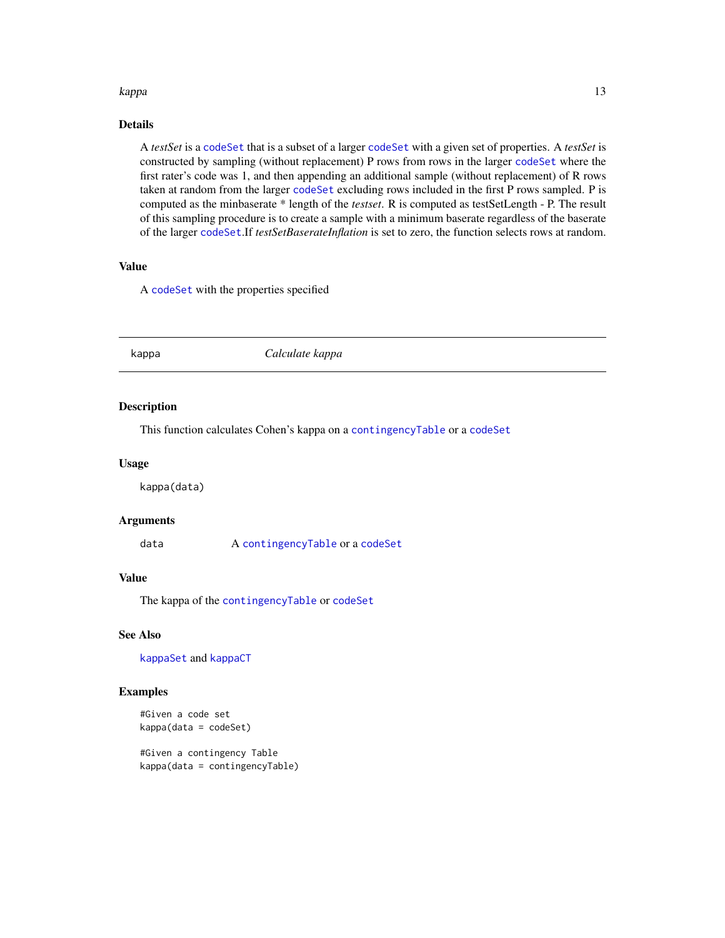#### <span id="page-12-0"></span>kappa terministra kapang kalendar kabupatèn Kabupatèn Kabupatèn Kabupatèn Kabupatèn Kabupatèn Kabupatèn Kabupa

# Details

A *testSet* is a [codeSet](#page-5-1) that is a subset of a larger [codeSet](#page-5-1) with a given set of properties. A *testSet* is constructed by sampling (without replacement) P rows from rows in the larger [codeSet](#page-5-1) where the first rater's code was 1, and then appending an additional sample (without replacement) of R rows taken at random from the larger [codeSet](#page-5-1) excluding rows included in the first P rows sampled. P is computed as the minbaserate \* length of the *testset*. R is computed as testSetLength - P. The result of this sampling procedure is to create a sample with a minimum baserate regardless of the baserate of the larger [codeSet](#page-5-1).If *testSetBaserateInflation* is set to zero, the function selects rows at random.

### Value

A [codeSet](#page-5-1) with the properties specified

<span id="page-12-1"></span>

# kappa *Calculate kappa*

#### Description

This function calculates Cohen's kappa on a [contingencyTable](#page-6-1) or a [codeSet](#page-5-1)

#### Usage

kappa(data)

#### Arguments

data A [contingencyTable](#page-6-1) or a [codeSet](#page-5-1)

### Value

The kappa of the [contingencyTable](#page-6-1) or [codeSet](#page-5-1)

#### See Also

[kappaSet](#page-13-1) and [kappaCT](#page-13-2)

#### Examples

```
#Given a code set
kappa(data = codeSet)
```
#Given a contingency Table kappa(data = contingencyTable)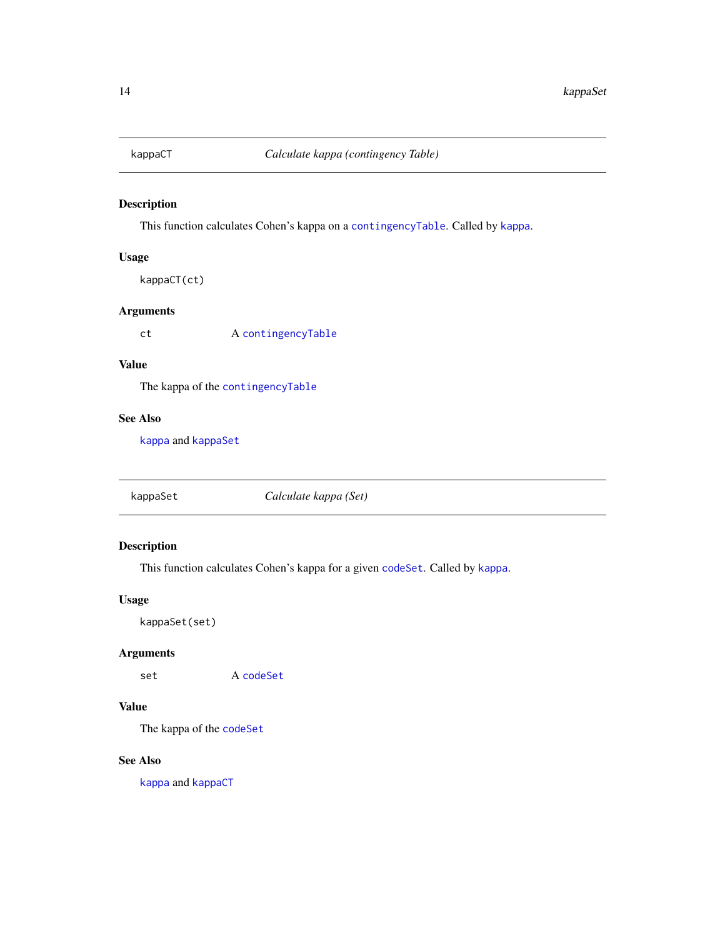<span id="page-13-2"></span><span id="page-13-0"></span>

This function calculates Cohen's kappa on a [contingencyTable](#page-6-1). Called by [kappa](#page-12-1).

# Usage

```
kappaCT(ct)
```
# Arguments

ct A [contingencyTable](#page-6-1)

# Value

The kappa of the [contingencyTable](#page-6-1)

# See Also

[kappa](#page-12-1) and [kappaSet](#page-13-1)

<span id="page-13-1"></span>kappaSet *Calculate kappa (Set)*

# Description

This function calculates Cohen's kappa for a given [codeSet](#page-5-1). Called by [kappa](#page-12-1).

# Usage

kappaSet(set)

### Arguments

set A [codeSet](#page-5-1)

# Value

The kappa of the [codeSet](#page-5-1)

# See Also

[kappa](#page-12-1) and [kappaCT](#page-13-2)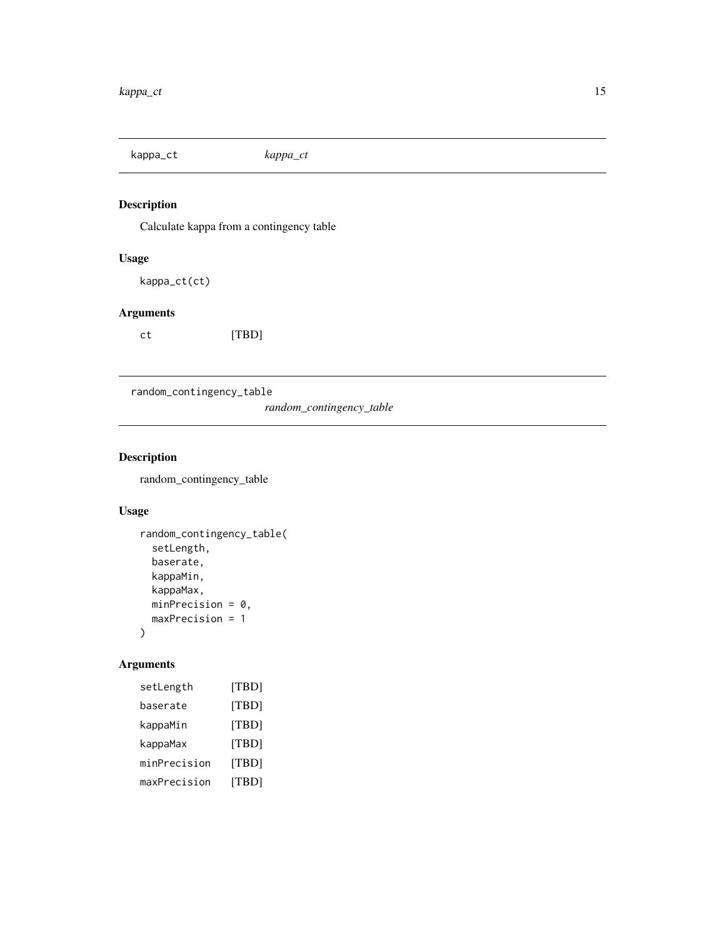<span id="page-14-0"></span>kappa\_ct *kappa\_ct*

# Description

Calculate kappa from a contingency table

# Usage

kappa\_ct(ct)

# Arguments

ct [TBD]

random\_contingency\_table

*random\_contingency\_table*

# Description

random\_contingency\_table

# Usage

```
random_contingency_table(
  setLength,
 baserate,
 kappaMin,
 kappaMax,
 minPrecision = 0,
 maxPrecision = 1
)
```

| setLength    | [TBD] |
|--------------|-------|
| baserate     | [TBD] |
| kappaMin     | [TBD] |
| kappaMax     | [TBD] |
| minPrecision | [TBD] |
| maxPrecision | [TBD] |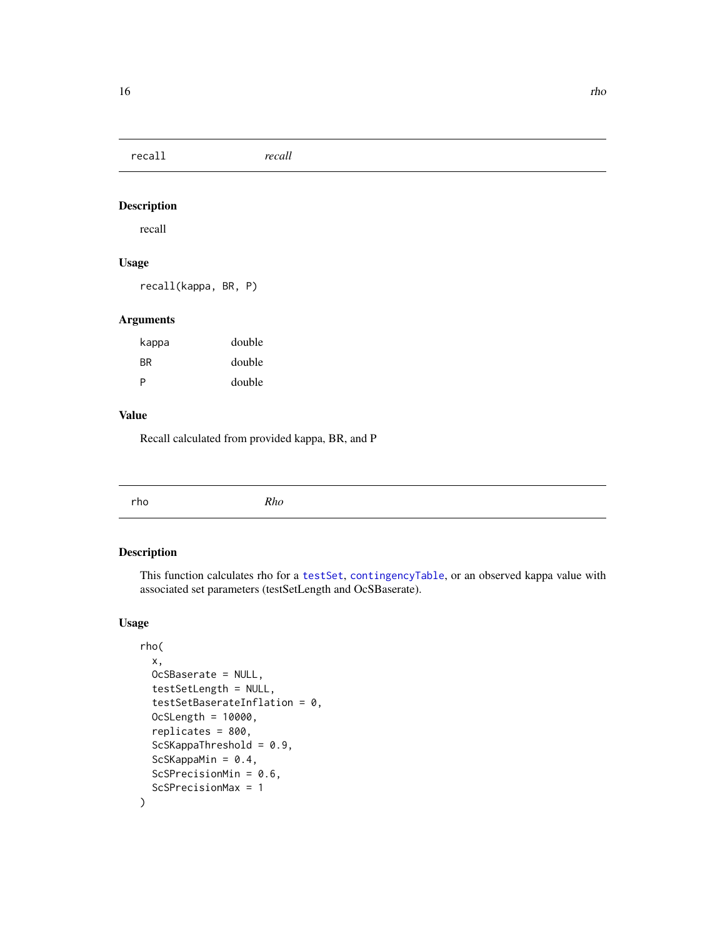<span id="page-15-0"></span>recall *recall*

# Description

recall

# Usage

recall(kappa, BR, P)

# Arguments

| kappa     | double |
|-----------|--------|
| <b>BR</b> | double |
| P         | double |

#### Value

Recall calculated from provided kappa, BR, and P

<span id="page-15-1"></span>

|--|

# Description

This function calculates rho for a [testSet](#page-11-1), [contingencyTable](#page-6-1), or an observed kappa value with associated set parameters (testSetLength and OcSBaserate).

# Usage

```
rho(
 x,
 OcSBaserate = NULL,
 testSetLength = NULL,
  testSetBaserateInflation = 0,
 OcSLength = 10000,
  replicates = 800,
  ScSKappaThreshold = 0.9,
  ScSKappaMin = 0.4,
  ScSPrecisionMin = 0.6,
  ScSPrecisionMax = 1
)
```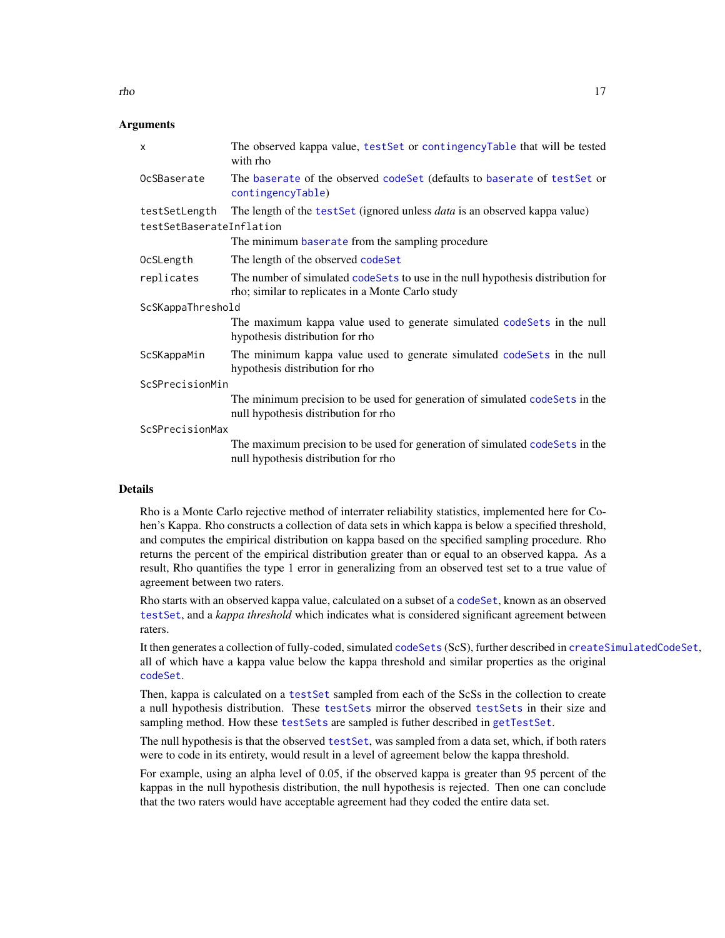<span id="page-16-0"></span>

| X                        | The observed kappa value, testSet or contingencyTable that will be tested<br>with rho                                                |  |  |
|--------------------------|--------------------------------------------------------------------------------------------------------------------------------------|--|--|
| OcSBaserate              | The baserate of the observed code Set (defaults to baserate of test Set or<br>contingencyTable)                                      |  |  |
| testSetLength            | The length of the testSet (ignored unless <i>data</i> is an observed kappa value)                                                    |  |  |
| testSetBaserateInflation |                                                                                                                                      |  |  |
|                          | The minimum baserate from the sampling procedure                                                                                     |  |  |
| OcSLength                | The length of the observed codeSet                                                                                                   |  |  |
| replicates               | The number of simulated codeSets to use in the null hypothesis distribution for<br>rho; similar to replicates in a Monte Carlo study |  |  |
| ScSKappaThreshold        |                                                                                                                                      |  |  |
|                          | The maximum kappa value used to generate simulated codeSets in the null<br>hypothesis distribution for rho                           |  |  |
| ScSKappaMin              | The minimum kappa value used to generate simulated codeSets in the null<br>hypothesis distribution for rho                           |  |  |
| ScSPrecisionMin          |                                                                                                                                      |  |  |
|                          | The minimum precision to be used for generation of simulated codeSets in the<br>null hypothesis distribution for rho                 |  |  |
| ScSPrecisionMax          |                                                                                                                                      |  |  |
|                          | The maximum precision to be used for generation of simulated codeSets in the<br>null hypothesis distribution for rho                 |  |  |
|                          |                                                                                                                                      |  |  |

#### Details

Rho is a Monte Carlo rejective method of interrater reliability statistics, implemented here for Cohen's Kappa. Rho constructs a collection of data sets in which kappa is below a specified threshold, and computes the empirical distribution on kappa based on the specified sampling procedure. Rho returns the percent of the empirical distribution greater than or equal to an observed kappa. As a result, Rho quantifies the type 1 error in generalizing from an observed test set to a true value of agreement between two raters.

Rho starts with an observed kappa value, calculated on a subset of a [codeSet](#page-5-1), known as an observed [testSet](#page-11-1), and a *kappa threshold* which indicates what is considered significant agreement between raters.

It then generates a collection of fully-coded, simulated [codeSets](#page-11-1) (ScS), further described in [createSimulatedCodeSet](#page-7-1), all of which have a kappa value below the kappa threshold and similar properties as the original [codeSet](#page-5-1).

Then, kappa is calculated on a [testSet](#page-11-1) sampled from each of the ScSs in the collection to create a null hypothesis distribution. These [testSets](#page-11-1) mirror the observed [testSets](#page-11-1) in their size and sampling method. How these [testSets](#page-11-1) are sampled is futher described in [getTestSet](#page-11-1).

The null hypothesis is that the observed [testSet](#page-11-1), was sampled from a data set, which, if both raters were to code in its entirety, would result in a level of agreement below the kappa threshold.

For example, using an alpha level of 0.05, if the observed kappa is greater than 95 percent of the kappas in the null hypothesis distribution, the null hypothesis is rejected. Then one can conclude that the two raters would have acceptable agreement had they coded the entire data set.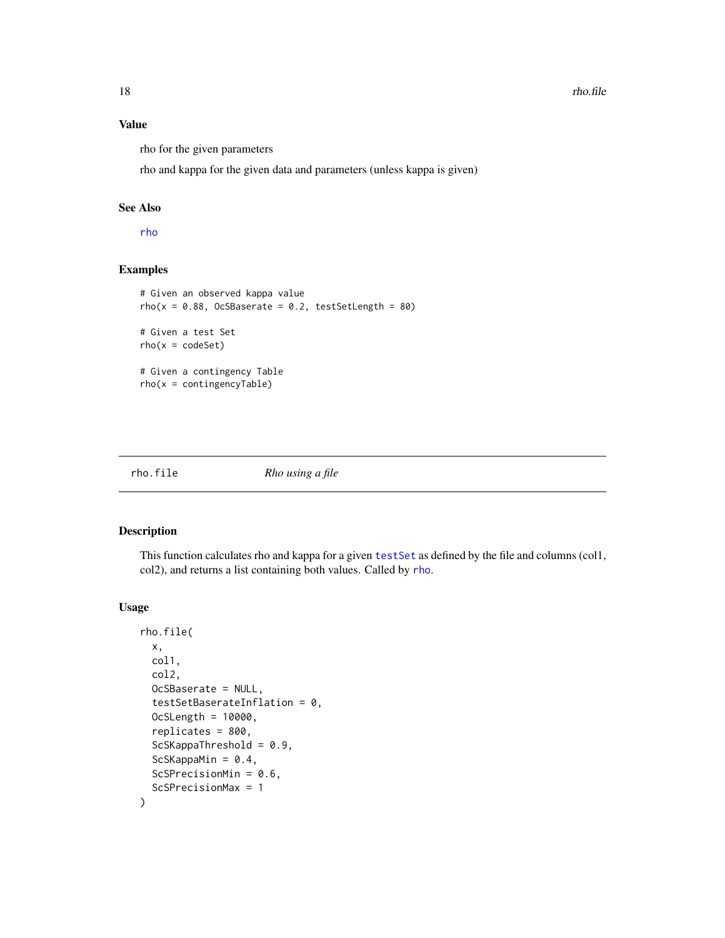# Value

rho for the given parameters

rho and kappa for the given data and parameters (unless kappa is given)

#### See Also

[rho](#page-15-1)

# Examples

```
# Given an observed kappa value
rho(x = 0.88, OcSBaserate = 0.2, testSetLength = 80)# Given a test Set
rho(x = codeSet)# Given a contingency Table
rho(x = contingencyTable)
```
rho.file *Rho using a file*

#### Description

This function calculates rho and kappa for a given [testSet](#page-11-1) as defined by the file and columns (col1, col2), and returns a list containing both values. Called by [rho](#page-15-1).

#### Usage

```
rho.file(
 x,
 col1,
  col2,
 OcSBaserate = NULL,
  testSetBaserateInflation = 0,
 OcSLength = 10000,
  replicates = 800,
  ScSKappaThreshold = 0.9,
  ScSKappaMin = 0.4,
  ScSPrecisionMin = 0.6,
  ScSPrecisionMax = 1
\mathcal{E}
```
<span id="page-17-0"></span>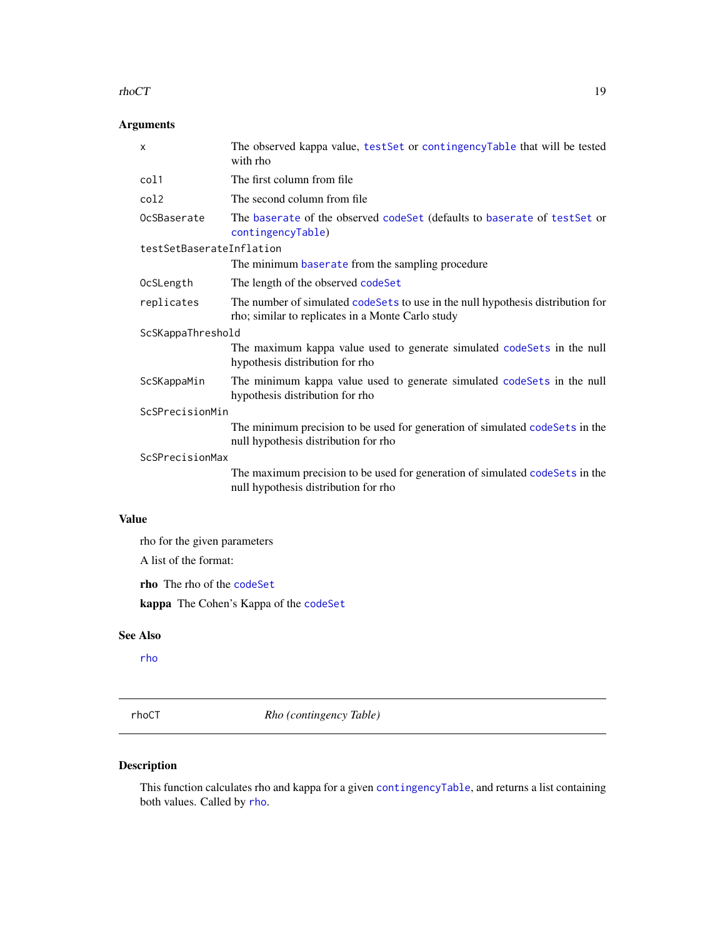#### <span id="page-18-0"></span> $r_{\rm th}$  rhoCT 19

# Arguments

|              | X                            | The observed kappa value, test Set or contingency Table that will be tested<br>with rho                                              |
|--------------|------------------------------|--------------------------------------------------------------------------------------------------------------------------------------|
|              | col1                         | The first column from file                                                                                                           |
|              | col2                         | The second column from file                                                                                                          |
|              | OcSBaserate                  | The baserate of the observed codeSet (defaults to baserate of testSet or<br>contingencyTable)                                        |
|              | testSetBaserateInflation     |                                                                                                                                      |
|              |                              | The minimum baserate from the sampling procedure                                                                                     |
|              | OcSLength                    | The length of the observed codeSet                                                                                                   |
|              | replicates                   | The number of simulated codeSets to use in the null hypothesis distribution for<br>rho; similar to replicates in a Monte Carlo study |
|              | ScSKappaThreshold            |                                                                                                                                      |
|              |                              | The maximum kappa value used to generate simulated codeSets in the null<br>hypothesis distribution for rho                           |
|              | ScSKappaMin                  | The minimum kappa value used to generate simulated codeSets in the null<br>hypothesis distribution for rho                           |
|              | ScSPrecisionMin              |                                                                                                                                      |
|              |                              | The minimum precision to be used for generation of simulated codeSets in the<br>null hypothesis distribution for rho                 |
|              | ScSPrecisionMax              |                                                                                                                                      |
|              |                              | The maximum precision to be used for generation of simulated codeSets in the<br>null hypothesis distribution for rho                 |
| <b>Value</b> |                              |                                                                                                                                      |
|              | the for the given parameters |                                                                                                                                      |
|              |                              |                                                                                                                                      |

A list of the format:

rho The rho of the [codeSet](#page-5-1)

kappa The Cohen's Kappa of the [codeSet](#page-5-1)

#### See Also

[rho](#page-15-1)

<span id="page-18-1"></span>rhoCT *Rho (contingency Table)*

# Description

This function calculates rho and kappa for a given [contingencyTable](#page-6-1), and returns a list containing both values. Called by [rho](#page-15-1).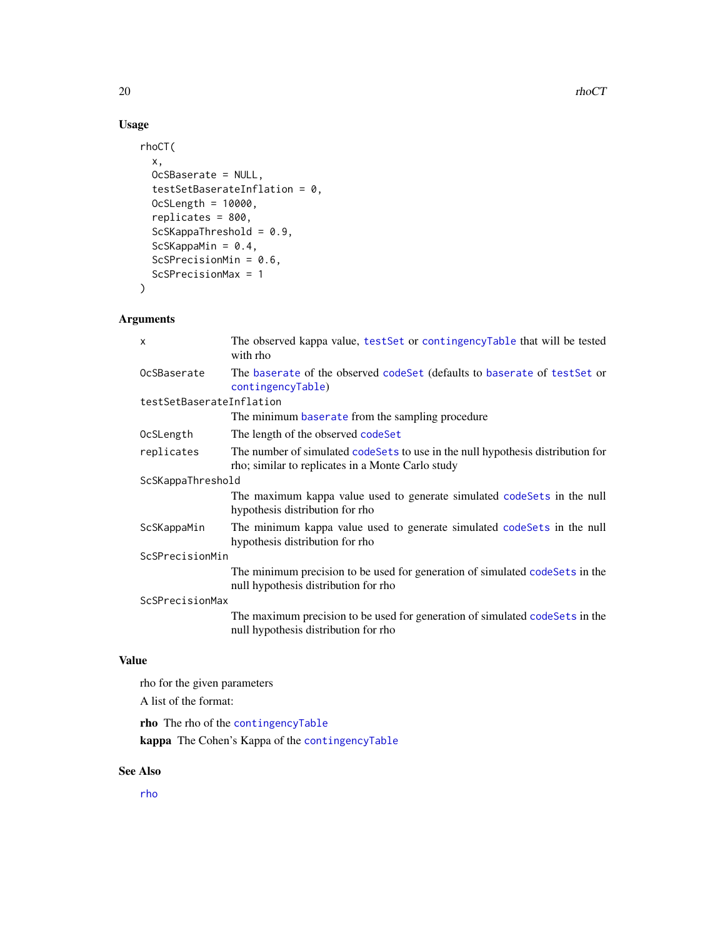# Usage

```
rhoCT(
 x,
 OcSBaserate = NULL,
  testSetBaserateInflation = 0,
 OcSLength = 10000,
  replicates = 800,
  ScSKappaThreshold = 0.9,
  ScSKappaMin = 0.4,
  ScSPrecisionMin = 0.6,
  ScSPrecisionMax = 1
)
```
# Arguments

|                          | X                 | The observed kappa value, testSet or contingencyTable that will be tested<br>with rho                                                |
|--------------------------|-------------------|--------------------------------------------------------------------------------------------------------------------------------------|
|                          | OcSBaserate       | The baserate of the observed code Set (defaults to baserate of test Set or<br>contingencyTable)                                      |
| testSetBaserateInflation |                   |                                                                                                                                      |
|                          |                   | The minimum baserate from the sampling procedure                                                                                     |
|                          | OcSLength         | The length of the observed codeSet                                                                                                   |
|                          | replicates        | The number of simulated codeSets to use in the null hypothesis distribution for<br>rho; similar to replicates in a Monte Carlo study |
|                          | ScSKappaThreshold |                                                                                                                                      |
|                          |                   | The maximum kappa value used to generate simulated codeSets in the null<br>hypothesis distribution for rho                           |
|                          | ScSKappaMin       | The minimum kappa value used to generate simulated codeSets in the null<br>hypothesis distribution for rho                           |
|                          | ScSPrecisionMin   |                                                                                                                                      |
|                          |                   | The minimum precision to be used for generation of simulated codeSets in the<br>null hypothesis distribution for rho                 |
|                          | ScSPrecisionMax   |                                                                                                                                      |
|                          |                   | The maximum precision to be used for generation of simulated codeSets in the<br>null hypothesis distribution for rho                 |
| Value                    |                   |                                                                                                                                      |

```
rho for the given parameters
```
A list of the format:

rho The rho of the [contingencyTable](#page-6-1) kappa The Cohen's Kappa of the [contingencyTable](#page-6-1)

# See Also

[rho](#page-15-1)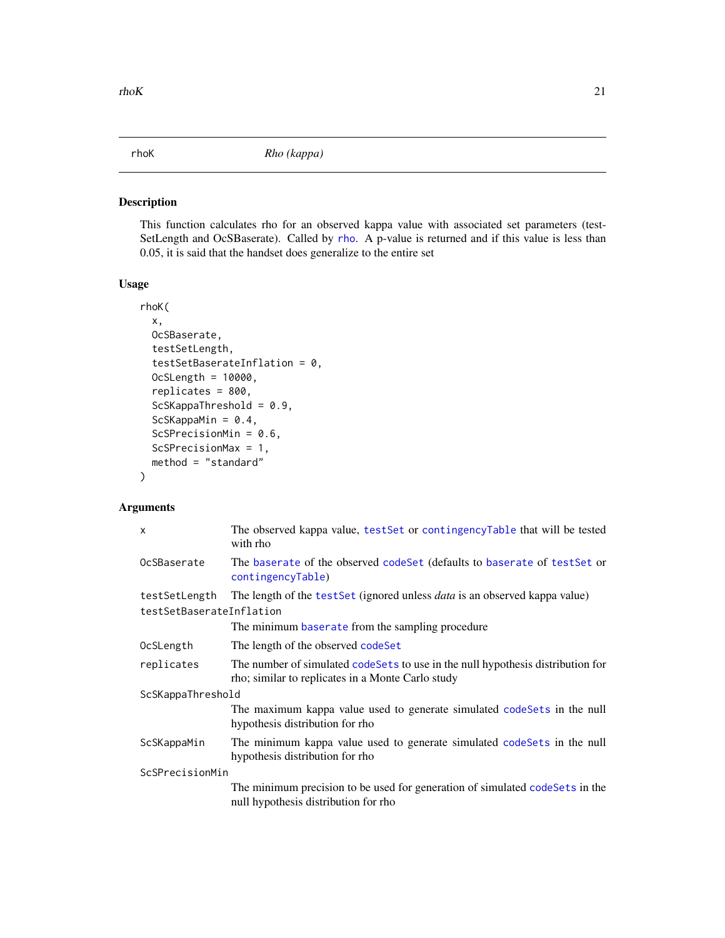<span id="page-20-1"></span><span id="page-20-0"></span>

This function calculates rho for an observed kappa value with associated set parameters (test-SetLength and OcSBaserate). Called by [rho](#page-15-1). A p-value is returned and if this value is less than 0.05, it is said that the handset does generalize to the entire set

#### Usage

```
rhoK(
 x,
 OcSBaserate,
  testSetLength,
  testSetBaserateInflation = 0,
 OcSLength = 10000,
  replicates = 800,
  ScSKappaThreshold = 0.9,
  ScSKappaMin = 0.4,
  ScSPrecisionMin = 0.6,
  ScSPrecisionMax = 1,
 method = "standard"
)
```

| $\mathsf{x}$                              | The observed kappa value, test Set or contingency Table that will be tested<br>with rho                                              |  |
|-------------------------------------------|--------------------------------------------------------------------------------------------------------------------------------------|--|
| OcSBaserate                               | The baserate of the observed codeSet (defaults to baserate of testSet or<br>contingencyTable)                                        |  |
| testSetLength<br>testSetBaserateInflation | The length of the test Set (ignored unless <i>data</i> is an observed kappa value)                                                   |  |
|                                           | The minimum baserate from the sampling procedure                                                                                     |  |
| OcSLength                                 | The length of the observed codeSet                                                                                                   |  |
| replicates                                | The number of simulated codeSets to use in the null hypothesis distribution for<br>rho; similar to replicates in a Monte Carlo study |  |
| ScSKappaThreshold                         |                                                                                                                                      |  |
|                                           | The maximum kappa value used to generate simulated code Sets in the null<br>hypothesis distribution for rho                          |  |
| ScSKappaMin                               | The minimum kappa value used to generate simulated codeSets in the null<br>hypothesis distribution for rho                           |  |
| ScSPrecisionMin                           |                                                                                                                                      |  |
|                                           | The minimum precision to be used for generation of simulated codeSets in the<br>null hypothesis distribution for rho                 |  |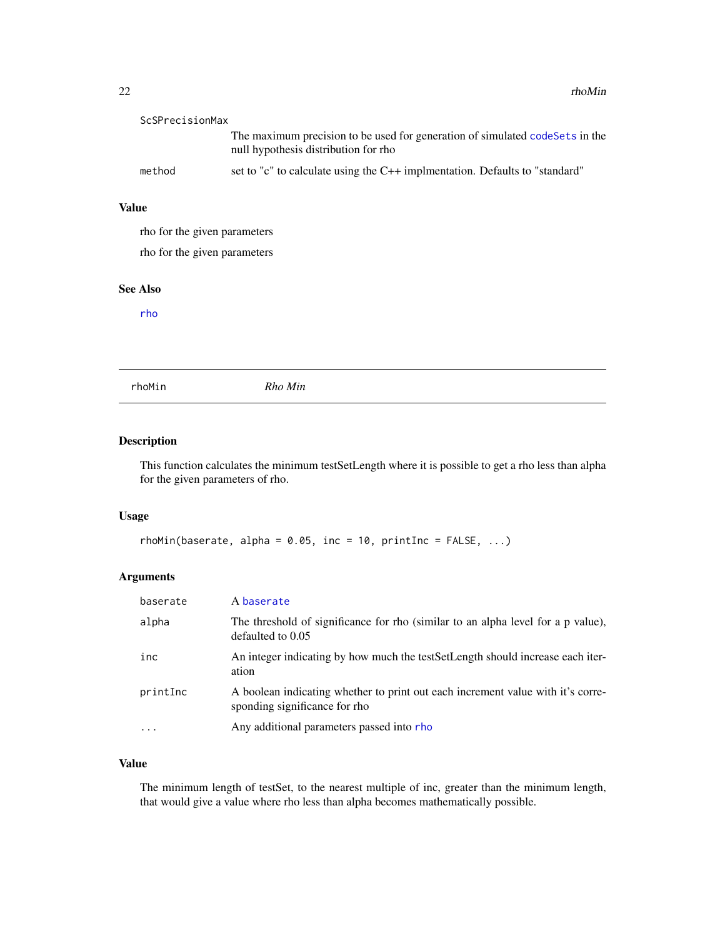<span id="page-21-0"></span>

| ScSPrecisionMax |                                                                                                                       |
|-----------------|-----------------------------------------------------------------------------------------------------------------------|
|                 | The maximum precision to be used for generation of simulated code Sets in the<br>null hypothesis distribution for rho |
| method          | set to "c" to calculate using the $C++$ implementation. Defaults to "standard"                                        |

# Value

rho for the given parameters

rho for the given parameters

#### See Also

[rho](#page-15-1)

<span id="page-21-1"></span>rhoMin *Rho Min*

# Description

This function calculates the minimum testSetLength where it is possible to get a rho less than alpha for the given parameters of rho.

#### Usage

```
rhomin(baserate, alpha = 0.05, inc = 10, printInc = FALSE, ...)
```
# Arguments

| baserate  | A baserate                                                                                                       |
|-----------|------------------------------------------------------------------------------------------------------------------|
| alpha     | The threshold of significance for rho (similar to an alpha level for a p value),<br>defaulted to 0.05            |
| inc       | An integer indicating by how much the test SetLength should increase each iter-<br>ation                         |
| printInc  | A boolean indicating whether to print out each increment value with it's corre-<br>sponding significance for rho |
| $\ddotsc$ | Any additional parameters passed into rho                                                                        |

# Value

The minimum length of testSet, to the nearest multiple of inc, greater than the minimum length, that would give a value where rho less than alpha becomes mathematically possible.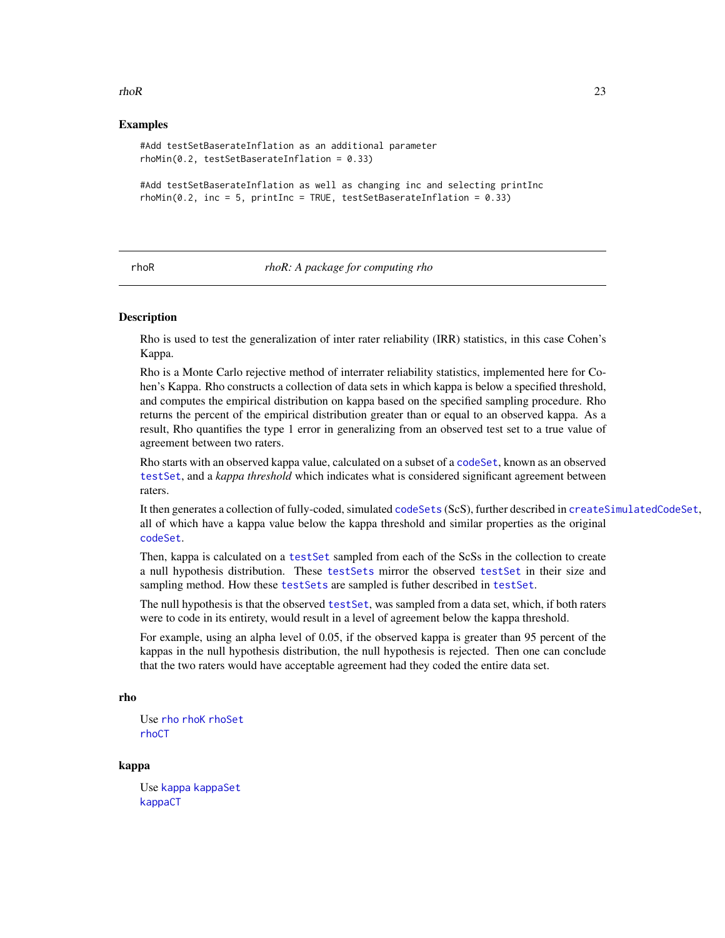#### <span id="page-22-0"></span> $rhoR$  23

#### Examples

```
#Add testSetBaserateInflation as an additional parameter
rhoMin(0.2, testSetBaserateInflation = 0.33)
#Add testSetBaserateInflation as well as changing inc and selecting printInc
```
 $rhomin(0.2, inc = 5, printInc = TRUE, testSetBaserateInflation = 0.33)$ 

#### rhoR *rhoR: A package for computing rho*

#### **Description**

Rho is used to test the generalization of inter rater reliability (IRR) statistics, in this case Cohen's Kappa.

Rho is a Monte Carlo rejective method of interrater reliability statistics, implemented here for Cohen's Kappa. Rho constructs a collection of data sets in which kappa is below a specified threshold, and computes the empirical distribution on kappa based on the specified sampling procedure. Rho returns the percent of the empirical distribution greater than or equal to an observed kappa. As a result, Rho quantifies the type 1 error in generalizing from an observed test set to a true value of agreement between two raters.

Rho starts with an observed kappa value, calculated on a subset of a [codeSet](#page-5-1), known as an observed [testSet](#page-11-1), and a *kappa threshold* which indicates what is considered significant agreement between raters.

It then generates a collection of fully-coded, simulated [codeSets](#page-11-1) (ScS), further described in [createSimulatedCodeSet](#page-7-1), all of which have a kappa value below the kappa threshold and similar properties as the original [codeSet](#page-5-1).

Then, kappa is calculated on a [testSet](#page-11-1) sampled from each of the ScSs in the collection to create a null hypothesis distribution. These [testSets](#page-11-1) mirror the observed [testSet](#page-11-1) in their size and sampling method. How these [testSets](#page-11-1) are sampled is futher described in [testSet](#page-11-1).

The null hypothesis is that the observed [testSet](#page-11-1), was sampled from a data set, which, if both raters were to code in its entirety, would result in a level of agreement below the kappa threshold.

For example, using an alpha level of 0.05, if the observed kappa is greater than 95 percent of the kappas in the null hypothesis distribution, the null hypothesis is rejected. Then one can conclude that the two raters would have acceptable agreement had they coded the entire data set.

### rho

```
Use rho rhoK rhoSet
rhoCT
```
#### kappa

Use [kappa](#page-12-1) [kappaSet](#page-13-1) [kappaCT](#page-13-2)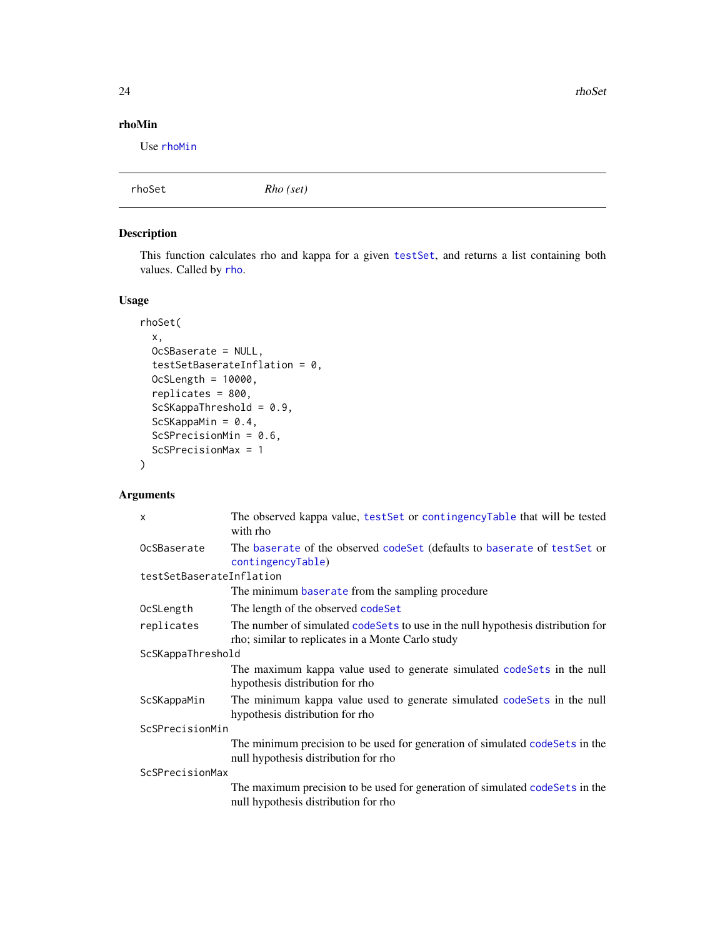<span id="page-23-0"></span>24 rhoSet

# rhoMin

Use [rhoMin](#page-21-1)

<span id="page-23-1"></span>

| Rho (set)<br>rhoSet |
|---------------------|
|---------------------|

# Description

This function calculates rho and kappa for a given [testSet](#page-11-1), and returns a list containing both values. Called by [rho](#page-15-1).

# Usage

```
rhoSet(
  x,
 OcSBaserate = NULL,
  testSetBaserateInflation = 0,
 OcSLength = 10000,
  replicates = 800,
  ScSKappaThreshold = 0.9,
  ScSKappaMin = 0.4,
  ScSPrecisionMin = 0.6,
  ScSPrecisionMax = 1
\mathcal{L}
```

| X                        | The observed kappa value, testSet or contingencyTable that will be tested<br>with rho                                                 |  |
|--------------------------|---------------------------------------------------------------------------------------------------------------------------------------|--|
| OcSBaserate              | The baserate of the observed code Set (defaults to baserate of test Set or<br>contingencyTable)                                       |  |
| testSetBaserateInflation |                                                                                                                                       |  |
|                          | The minimum baserate from the sampling procedure                                                                                      |  |
| OcSLength                | The length of the observed codeSet                                                                                                    |  |
| replicates               | The number of simulated code Sets to use in the null hypothesis distribution for<br>rho; similar to replicates in a Monte Carlo study |  |
| ScSKappaThreshold        |                                                                                                                                       |  |
|                          | The maximum kappa value used to generate simulated code Sets in the null<br>hypothesis distribution for rho                           |  |
| ScSKappaMin              | The minimum kappa value used to generate simulated codeSets in the null<br>hypothesis distribution for rho                            |  |
| ScSPrecisionMin          |                                                                                                                                       |  |
|                          | The minimum precision to be used for generation of simulated codeSets in the<br>null hypothesis distribution for rho                  |  |
| ScSPrecisionMax          |                                                                                                                                       |  |
|                          | The maximum precision to be used for generation of simulated codeSets in the<br>null hypothesis distribution for rho                  |  |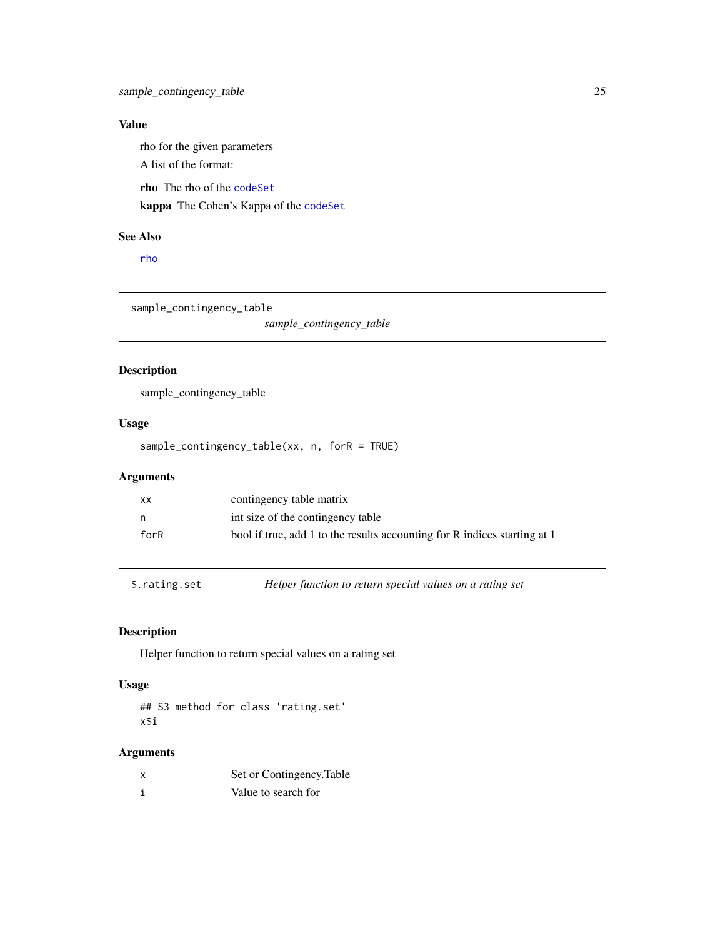# <span id="page-24-0"></span>Value

rho for the given parameters

A list of the format:

rho The rho of the [codeSet](#page-5-1)

kappa The Cohen's Kappa of the [codeSet](#page-5-1)

# See Also

[rho](#page-15-1)

sample\_contingency\_table

*sample\_contingency\_table*

# Description

sample\_contingency\_table

# Usage

sample\_contingency\_table(xx, n, forR = TRUE)

# Arguments

| хx   | contingency table matrix                                                  |
|------|---------------------------------------------------------------------------|
| - n  | int size of the contingency table                                         |
| forR | bool if true, add 1 to the results accounting for R indices starting at 1 |

\$.rating.set *Helper function to return special values on a rating set*

# Description

Helper function to return special values on a rating set

# Usage

## S3 method for class 'rating.set' x\$i

| x | Set or Contingency. Table |
|---|---------------------------|
|   | Value to search for       |